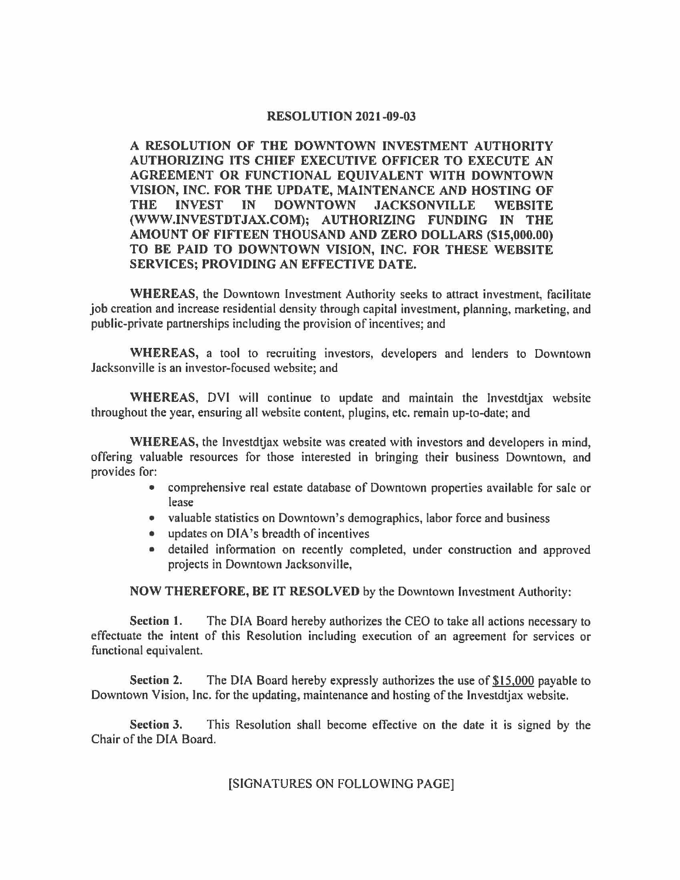## **RESOLUTION 2021-09-03**

**A RESOLUTION OF THE DOWNTOWN INVESTMENT AUTHORITY AUTHORIZING ITS CHIEF EXECUTIVE OFFICER TO EXECUTE AN AGREEMENT OR FUNCTIONAL EQUIVALENT WITH DOWNTOWN VISION, INC. FOR THE UPDATE, MAINTENANCE AND HOSTING OF THE INVEST IN DOWNTOWN JACKSONVILLE WEBSITE (WWW.INVESTDTJAX.COM); AUTHORIZING FUNDING IN THE AMOUNT OF FIFTEEN THOUSAND AND ZERO DOLLARS (\$15,000.00) TO BE PAID TO DOWNTOWN VISION, INC. FOR THESE WEBSITE SERVICES; PROVIDING AN EFFECTIVE DATE.** 

**WHEREAS,** the Downtown Investment Authority seeks to attract investment, facilitate job creation and increase residential density through capital investment, planning, marketing, and public-private partnerships including the provision of incentives; and

**WHEREAS,** a tool to recruiting investors, developers and lenders to Downtown Jacksonville is an investor-focused website; and

**WHEREAS,** DVI will continue to update and maintain the lnvestdtjax website throughout the year, ensuring all website content, plugins, etc. remain up-to-date; and

**WHEREAS,** the lnvestdtjax website was created with investors and developers in mind, offering valuable resources for those interested in bringing their business Downtown, and provides for:

- comprehensive real estate database of Downtown properties available for sale or lease
- valuable statistics on Downtown's demographics, labor force and business
- updates on DIA's breadth of incentives
- detailed information on recently completed, under construction and approved projects in Downtown Jacksonville,

**NOW THEREFORE, BE** IT **RESOLVED** by the Downtown Investment Authority:

**Section l.** The DIA Board hereby authorizes the CEO to take all actions necessary to effectuate the intent of this Resolution including execution of an agreement for services or functional equivalent.

**Section 2.** The DIA Board hereby expressly authorizes the use of \$15.000 payable to Downtown Vision, Inc. for the updating, maintenance and hosting of the Investdtiax website.

**Section** 3. This Resolution shall become effective on the date it is signed by the Chair of the DIA Board.

## [SIGNATURES ON FOLLOWING PAGE]